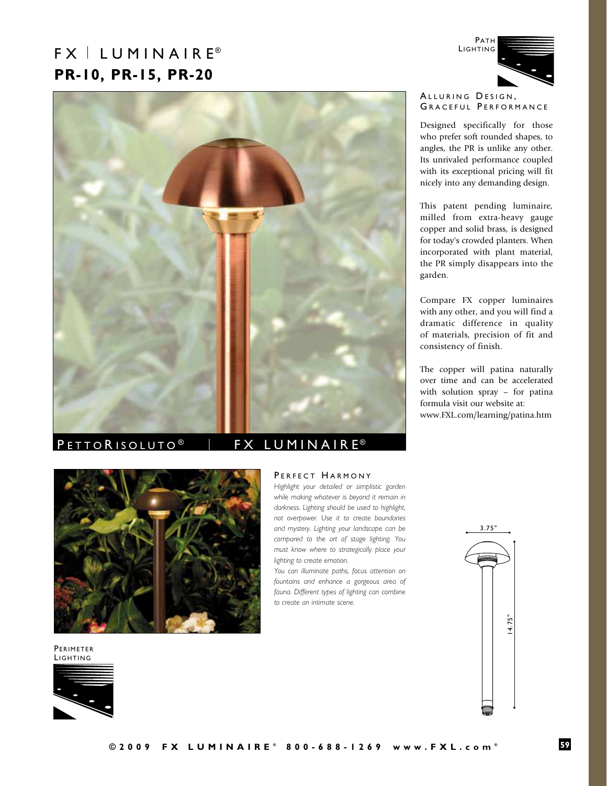# $FX \perp LUMIN A IR E<sup>®</sup>$ **PR-10, PR-15, PR-20**





## PETTORISOLUTO<sup>®</sup> | FX LUMINAIRE<sup>®</sup>



*Highlight your detailed or simplistic garden while making whatever is beyond it remain in darkness. Lighting should be used to highlight, not overpower. Use it to create boundaries and mystery. Lighting your landscape can be compared to the art of stage lighting. You must know where to strategically place your lighting to create emotion.* 

*You can illuminate paths, focus attention on fountains and enhance a gorgeous area of fauna. Different types of lighting can combine to create an intimate scene.*





**PERIMETER LIGHTING** 



#### ALLURING DESIGN, GRACEFUL PERFORMANCE

Designed specifically for those who prefer soft rounded shapes, to angles, the PR is unlike any other. Its unrivaled performance coupled with its exceptional pricing will fit nicely into any demanding design.

This patent pending luminaire, milled from extra-heavy gauge copper and solid brass, is designed for today's crowded planters. When incorporated with plant material, the PR simply disappears into the garden.

Compare FX copper luminaires with any other, and you will find a dramatic difference in quality of materials, precision of fit and consistency of finish.

The copper will patina naturally over time and can be accelerated with solution spray – for patina formula visit our website at: www.FXL.com/learning/patina.htm